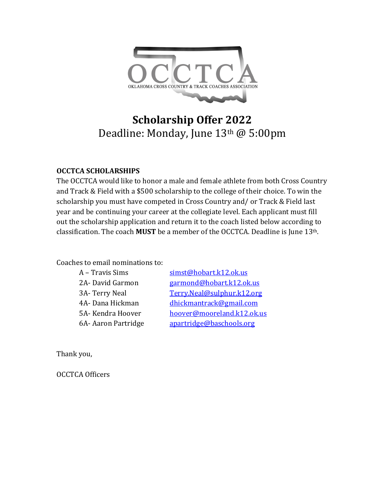

## **Scholarship Offer 2022** Deadline: Monday, June 13th @ 5:00pm

## **OCCTCA SCHOLARSHIPS**

The OCCTCA would like to honor a male and female athlete from both Cross Country and Track & Field with a \$500 scholarship to the college of their choice. To win the scholarship you must have competed in Cross Country and/ or Track & Field last year and be continuing your career at the collegiate level. Each applicant must fill out the scholarship application and return it to the coach listed below according to classification. The coach **MUST** be a member of the OCCTCA. Deadline is June 13th.

## Coaches to email nominations to:

| A - Travis Sims     | simst@hobart.k12.ok.us     |
|---------------------|----------------------------|
| 2A-David Garmon     | garmond@hobart.k12.ok.us   |
| 3A-Terry Neal       | Terry.Neal@sulphur.k12.org |
| 4A-Dana Hickman     | dhickmantrack@gmail.com    |
| 5A-Kendra Hoover    | hoover@mooreland.k12.ok.us |
| 6A- Aaron Partridge | apartridge@baschools.org   |

Thank you,

OCCTCA Officers